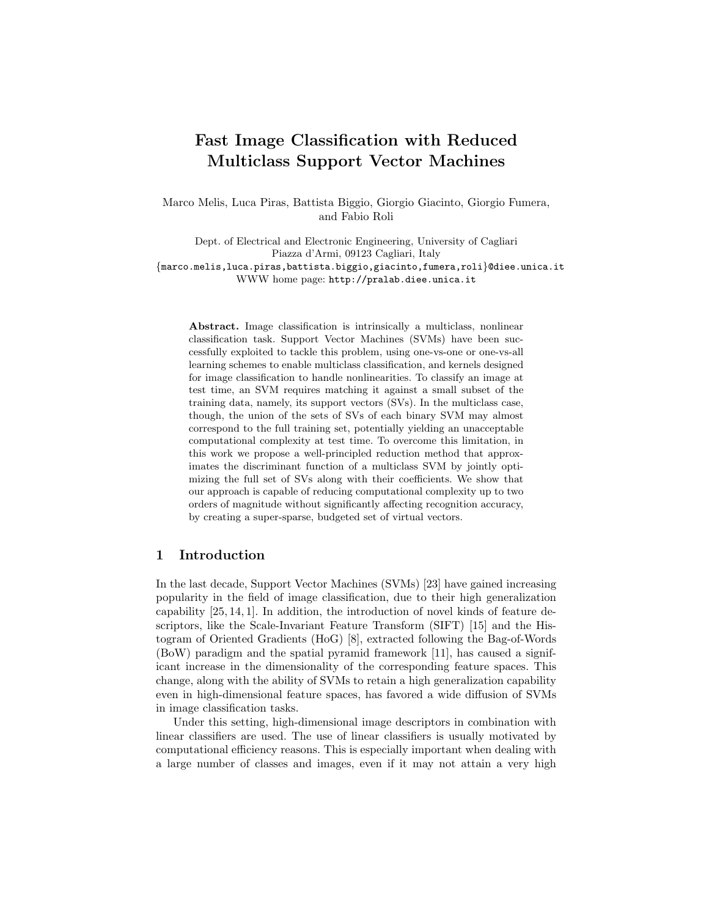# Fast Image Classification with Reduced Multiclass Support Vector Machines

Marco Melis, Luca Piras, Battista Biggio, Giorgio Giacinto, Giorgio Fumera, and Fabio Roli

Dept. of Electrical and Electronic Engineering, University of Cagliari Piazza d'Armi, 09123 Cagliari, Italy {marco.melis,luca.piras,battista.biggio,giacinto,fumera,roli}@diee.unica.it WWW home page: http://pralab.diee.unica.it

Abstract. Image classification is intrinsically a multiclass, nonlinear classification task. Support Vector Machines (SVMs) have been successfully exploited to tackle this problem, using one-vs-one or one-vs-all learning schemes to enable multiclass classification, and kernels designed for image classification to handle nonlinearities. To classify an image at test time, an SVM requires matching it against a small subset of the training data, namely, its support vectors (SVs). In the multiclass case, though, the union of the sets of SVs of each binary SVM may almost correspond to the full training set, potentially yielding an unacceptable computational complexity at test time. To overcome this limitation, in this work we propose a well-principled reduction method that approximates the discriminant function of a multiclass SVM by jointly optimizing the full set of SVs along with their coefficients. We show that our approach is capable of reducing computational complexity up to two orders of magnitude without significantly affecting recognition accuracy, by creating a super-sparse, budgeted set of virtual vectors.

#### 1 Introduction

In the last decade, Support Vector Machines (SVMs) [23] have gained increasing popularity in the field of image classification, due to their high generalization capability [25, 14, 1]. In addition, the introduction of novel kinds of feature descriptors, like the Scale-Invariant Feature Transform (SIFT) [15] and the Histogram of Oriented Gradients (HoG) [8], extracted following the Bag-of-Words (BoW) paradigm and the spatial pyramid framework [11], has caused a significant increase in the dimensionality of the corresponding feature spaces. This change, along with the ability of SVMs to retain a high generalization capability even in high-dimensional feature spaces, has favored a wide diffusion of SVMs in image classification tasks.

Under this setting, high-dimensional image descriptors in combination with linear classifiers are used. The use of linear classifiers is usually motivated by computational efficiency reasons. This is especially important when dealing with a large number of classes and images, even if it may not attain a very high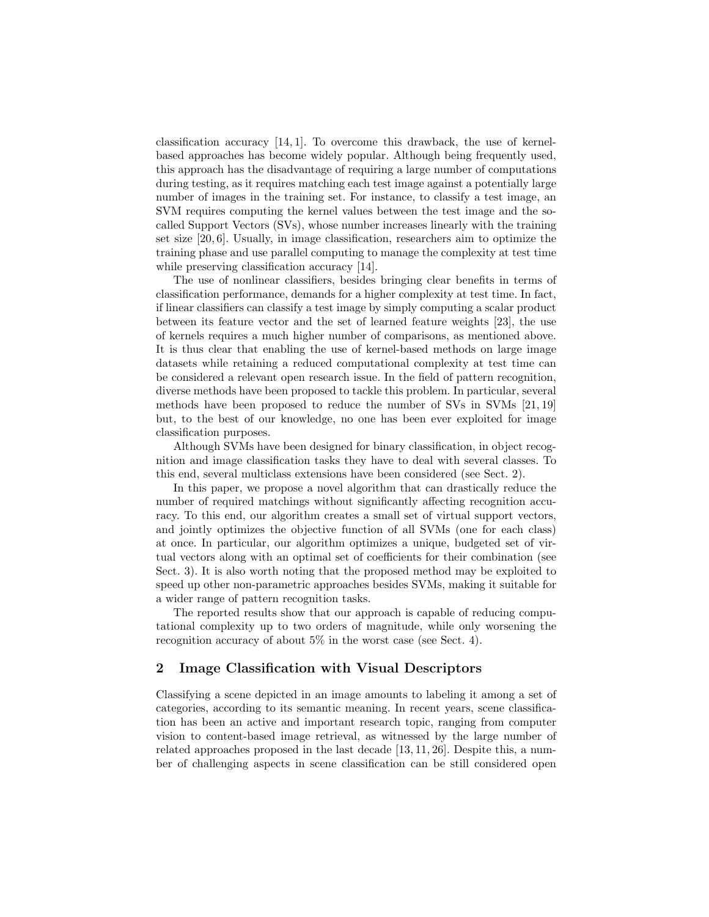classification accuracy [14, 1]. To overcome this drawback, the use of kernelbased approaches has become widely popular. Although being frequently used, this approach has the disadvantage of requiring a large number of computations during testing, as it requires matching each test image against a potentially large number of images in the training set. For instance, to classify a test image, an SVM requires computing the kernel values between the test image and the socalled Support Vectors (SVs), whose number increases linearly with the training set size [20, 6]. Usually, in image classification, researchers aim to optimize the training phase and use parallel computing to manage the complexity at test time while preserving classification accuracy [14].

The use of nonlinear classifiers, besides bringing clear benefits in terms of classification performance, demands for a higher complexity at test time. In fact, if linear classifiers can classify a test image by simply computing a scalar product between its feature vector and the set of learned feature weights [23], the use of kernels requires a much higher number of comparisons, as mentioned above. It is thus clear that enabling the use of kernel-based methods on large image datasets while retaining a reduced computational complexity at test time can be considered a relevant open research issue. In the field of pattern recognition, diverse methods have been proposed to tackle this problem. In particular, several methods have been proposed to reduce the number of SVs in SVMs [21, 19] but, to the best of our knowledge, no one has been ever exploited for image classification purposes.

Although SVMs have been designed for binary classification, in object recognition and image classification tasks they have to deal with several classes. To this end, several multiclass extensions have been considered (see Sect. 2).

In this paper, we propose a novel algorithm that can drastically reduce the number of required matchings without significantly affecting recognition accuracy. To this end, our algorithm creates a small set of virtual support vectors, and jointly optimizes the objective function of all SVMs (one for each class) at once. In particular, our algorithm optimizes a unique, budgeted set of virtual vectors along with an optimal set of coefficients for their combination (see Sect. 3). It is also worth noting that the proposed method may be exploited to speed up other non-parametric approaches besides SVMs, making it suitable for a wider range of pattern recognition tasks.

The reported results show that our approach is capable of reducing computational complexity up to two orders of magnitude, while only worsening the recognition accuracy of about 5% in the worst case (see Sect. 4).

## 2 Image Classification with Visual Descriptors

Classifying a scene depicted in an image amounts to labeling it among a set of categories, according to its semantic meaning. In recent years, scene classification has been an active and important research topic, ranging from computer vision to content-based image retrieval, as witnessed by the large number of related approaches proposed in the last decade [13, 11, 26]. Despite this, a number of challenging aspects in scene classification can be still considered open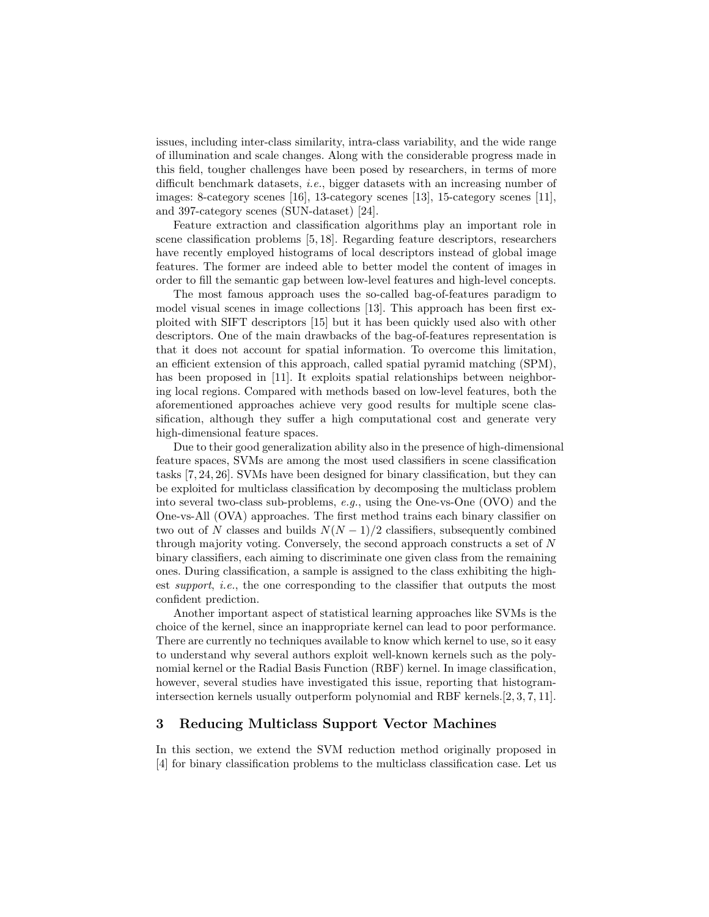issues, including inter-class similarity, intra-class variability, and the wide range of illumination and scale changes. Along with the considerable progress made in this field, tougher challenges have been posed by researchers, in terms of more difficult benchmark datasets, *i.e.*, bigger datasets with an increasing number of images: 8-category scenes [16], 13-category scenes [13], 15-category scenes [11], and 397-category scenes (SUN-dataset) [24].

Feature extraction and classification algorithms play an important role in scene classification problems [5, 18]. Regarding feature descriptors, researchers have recently employed histograms of local descriptors instead of global image features. The former are indeed able to better model the content of images in order to fill the semantic gap between low-level features and high-level concepts.

The most famous approach uses the so-called bag-of-features paradigm to model visual scenes in image collections [13]. This approach has been first exploited with SIFT descriptors [15] but it has been quickly used also with other descriptors. One of the main drawbacks of the bag-of-features representation is that it does not account for spatial information. To overcome this limitation, an efficient extension of this approach, called spatial pyramid matching (SPM), has been proposed in [11]. It exploits spatial relationships between neighboring local regions. Compared with methods based on low-level features, both the aforementioned approaches achieve very good results for multiple scene classification, although they suffer a high computational cost and generate very high-dimensional feature spaces.

Due to their good generalization ability also in the presence of high-dimensional feature spaces, SVMs are among the most used classifiers in scene classification tasks [7, 24, 26]. SVMs have been designed for binary classification, but they can be exploited for multiclass classification by decomposing the multiclass problem into several two-class sub-problems, e.g., using the One-vs-One (OVO) and the One-vs-All (OVA) approaches. The first method trains each binary classifier on two out of N classes and builds  $N(N-1)/2$  classifiers, subsequently combined through majority voting. Conversely, the second approach constructs a set of N binary classifiers, each aiming to discriminate one given class from the remaining ones. During classification, a sample is assigned to the class exhibiting the highest support, i.e., the one corresponding to the classifier that outputs the most confident prediction.

Another important aspect of statistical learning approaches like SVMs is the choice of the kernel, since an inappropriate kernel can lead to poor performance. There are currently no techniques available to know which kernel to use, so it easy to understand why several authors exploit well-known kernels such as the polynomial kernel or the Radial Basis Function (RBF) kernel. In image classification, however, several studies have investigated this issue, reporting that histogramintersection kernels usually outperform polynomial and RBF kernels.[2, 3, 7, 11].

## 3 Reducing Multiclass Support Vector Machines

In this section, we extend the SVM reduction method originally proposed in [4] for binary classification problems to the multiclass classification case. Let us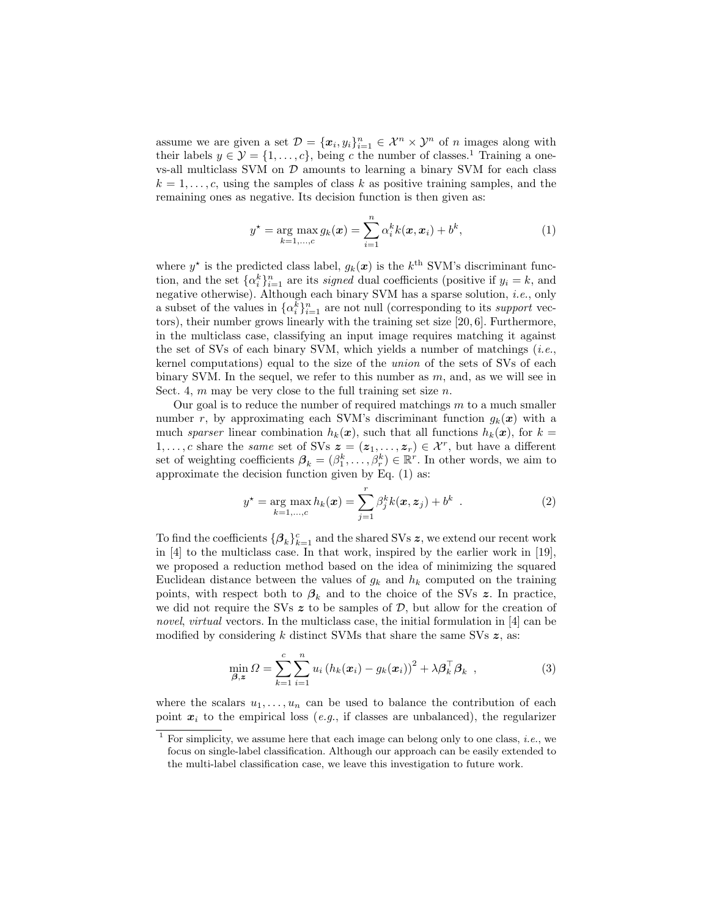assume we are given a set  $\mathcal{D} = {\{x_i, y_i\}}_{i=1}^n \in \mathcal{X}^n \times \mathcal{Y}^n$  of *n* images along with their labels  $y \in \mathcal{Y} = \{1, ..., c\}$ , being c the number of classes.<sup>1</sup> Training a onevs-all multiclass SVM on  $D$  amounts to learning a binary SVM for each class  $k = 1, \ldots, c$ , using the samples of class k as positive training samples, and the remaining ones as negative. Its decision function is then given as:

$$
y^* = \arg_{k=1,...,c} \max g_k(\boldsymbol{x}) = \sum_{i=1}^n \alpha_i^k k(\boldsymbol{x}, \boldsymbol{x}_i) + b^k,
$$
 (1)

where  $y^*$  is the predicted class label,  $g_k(x)$  is the  $k^{\text{th}}$  SVM's discriminant function, and the set  $\{\alpha_i^k\}_{i=1}^n$  are its *signed* dual coefficients (positive if  $y_i = k$ , and negative otherwise). Although each binary SVM has a sparse solution, i.e., only a subset of the values in  $\{\alpha_i^k\}_{i=1}^n$  are not null (corresponding to its *support* vectors), their number grows linearly with the training set size [20, 6]. Furthermore, in the multiclass case, classifying an input image requires matching it against the set of SVs of each binary SVM, which yields a number of matchings  $(i.e.,$ kernel computations) equal to the size of the union of the sets of SVs of each binary SVM. In the sequel, we refer to this number as  $m$ , and, as we will see in Sect. 4, m may be very close to the full training set size  $n$ .

Our goal is to reduce the number of required matchings  $m$  to a much smaller number r, by approximating each SVM's discriminant function  $q_k(x)$  with a much sparser linear combination  $h_k(x)$ , such that all functions  $h_k(x)$ , for  $k =$ 1,..., c share the *same* set of SVs  $\boldsymbol{z} = (\boldsymbol{z}_1, \ldots, \boldsymbol{z}_r) \in \mathcal{X}^r$ , but have a different set of weighting coefficients  $\beta_k = (\beta_1^k, \ldots, \beta_r^k) \in \mathbb{R}^r$ . In other words, we aim to approximate the decision function given by Eq.  $(1)$  as:

$$
y^* = \underset{k=1,\dots,c}{\arg \max} h_k(\boldsymbol{x}) = \sum_{j=1}^r \beta_j^k k(\boldsymbol{x}, \boldsymbol{z}_j) + b^k \quad . \tag{2}
$$

To find the coefficients  $\{\beta_k\}_{k=1}^c$  and the shared SVs  $z$ , we extend our recent work in [4] to the multiclass case. In that work, inspired by the earlier work in [19], we proposed a reduction method based on the idea of minimizing the squared Euclidean distance between the values of  $g_k$  and  $h_k$  computed on the training points, with respect both to  $\beta_k$  and to the choice of the SVs z. In practice, we did not require the SVs  $\boldsymbol{z}$  to be samples of  $\mathcal{D}$ , but allow for the creation of novel, virtual vectors. In the multiclass case, the initial formulation in [4] can be modified by considering  $k$  distinct SVMs that share the same SVs  $\boldsymbol{z}$ , as:

$$
\min_{\boldsymbol{\beta}, \boldsymbol{z}} \Omega = \sum_{k=1}^{c} \sum_{i=1}^{n} u_i \left( h_k(\boldsymbol{x}_i) - g_k(\boldsymbol{x}_i) \right)^2 + \lambda \boldsymbol{\beta}_k^\top \boldsymbol{\beta}_k \quad , \tag{3}
$$

where the scalars  $u_1, \ldots, u_n$  can be used to balance the contribution of each point  $x_i$  to the empirical loss (e.g., if classes are unbalanced), the regularizer

<sup>&</sup>lt;sup>1</sup> For simplicity, we assume here that each image can belong only to one class, *i.e.*, we focus on single-label classification. Although our approach can be easily extended to the multi-label classification case, we leave this investigation to future work.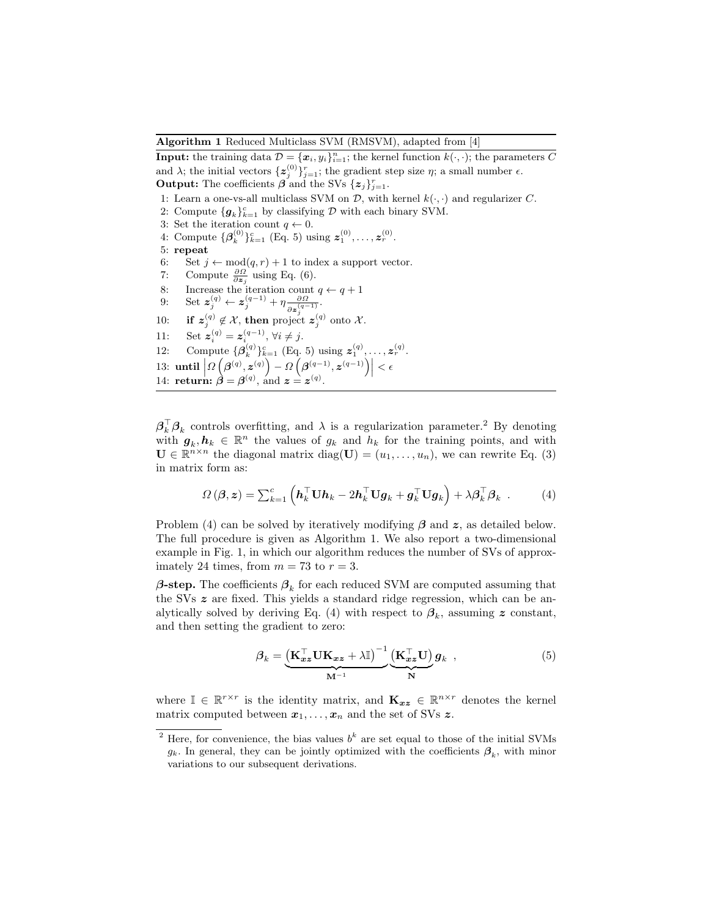Algorithm 1 Reduced Multiclass SVM (RMSVM), adapted from [4]

**Input:** the training data  $\mathcal{D} = {\mathbf{x}_i, y_i}_{i=1}^n$ ; the kernel function  $k(\cdot, \cdot)$ ; the parameters C and  $\lambda$ ; the initial vectors  $\{z_j^{(0)}\}_{j=1}^r$ ; the gradient step size  $\eta$ ; a small number  $\epsilon$ . **Output:** The coefficients  $\boldsymbol{\beta}$  and the SVs  $\{z_j\}_{j=1}^r$ .

- 1: Learn a one-vs-all multiclass SVM on  $\mathcal{D}$ , with kernel  $k(\cdot, \cdot)$  and regularizer C.
- 2: Compute  ${g_k}_{k=1}^c$  by classifying  $D$  with each binary SVM.
- 3: Set the iteration count  $q \leftarrow 0$ .
- 4: Compute  $\{\boldsymbol{\beta}_k^{(0)}\}_{k=1}^c$  (Eq. 5) using  $\boldsymbol{z}_1^{(0)}, \ldots, \boldsymbol{z}_r^{(0)}$ .
- 5: repeat
- 6: Set  $j \leftarrow \text{mod}(q, r) + 1$  to index a support vector.
- 7: Compute  $\frac{\partial \Omega}{\partial z_j}$  using Eq. (6).
- 8: Increase the iteration count  $q \leftarrow q + 1$
- 9: Set  $z_j^{(q)} \leftarrow z_j^{(q-1)} + \eta \frac{\partial \Omega}{\partial z^{(q-1)}}$  $\frac{\partial \Omega}{\partial \mathbf{z}_j^{(q-1)}}$ .
- 10: if  $z_j^{(q)} \notin \mathcal{X}$ , then project  $z_j^{(q)}$  onto  $\mathcal{X}$ .
- 11: Set  $z_i^{(q)} = z_i^{(q-1)}, \forall i \neq j.$
- 11. Set  $z_i = z_i^{(q)}$ ,  $x_i \neq j$ .<br>
12: Compute  $\{\beta_k^{(q)}\}_{k=1}^c$  (Eq. 5) using  $z_1^{(q)}$ , ...,  $z_r^{(q)}$ .

13: until  $\left|\Omega\left(\boldsymbol{\beta}^{(q)}, \boldsymbol{z}^{(q)}\right) - \Omega\left(\boldsymbol{\beta}^{(q-1)}, \boldsymbol{z}^{(q-1)}\right)\right| < \epsilon$ <br>14: return:  $\boldsymbol{\beta} = \boldsymbol{\beta}^{(q)}$ , and  $\boldsymbol{z} = \boldsymbol{z}^{(q)}$ .

 $\beta_k^{\top} \beta_k$  controls overfitting, and  $\lambda$  is a regularization parameter.<sup>2</sup> By denoting with  $g_k, h_k \in \mathbb{R}^n$  the values of  $g_k$  and  $h_k$  for the training points, and with  $\mathbf{U} \in \mathbb{R}^{n \times n}$  the diagonal matrix diag( $\mathbf{U} = (u_1, \ldots, u_n)$ , we can rewrite Eq. (3) in matrix form as:

$$
\Omega(\boldsymbol{\beta}, \boldsymbol{z}) = \sum_{k=1}^{c} \left( \boldsymbol{h}_{k}^{\top} \mathbf{U} \boldsymbol{h}_{k} - 2 \boldsymbol{h}_{k}^{\top} \mathbf{U} \boldsymbol{g}_{k} + \boldsymbol{g}_{k}^{\top} \mathbf{U} \boldsymbol{g}_{k} \right) + \lambda \boldsymbol{\beta}_{k}^{\top} \boldsymbol{\beta}_{k} \quad . \tag{4}
$$

Problem (4) can be solved by iteratively modifying  $\beta$  and z, as detailed below. The full procedure is given as Algorithm 1. We also report a two-dimensional example in Fig. 1, in which our algorithm reduces the number of SVs of approximately 24 times, from  $m = 73$  to  $r = 3$ .

 $\beta$ -step. The coefficients  $\beta_k$  for each reduced SVM are computed assuming that the SVs z are fixed. This yields a standard ridge regression, which can be analytically solved by deriving Eq. (4) with respect to  $\beta_k$ , assuming z constant, and then setting the gradient to zero:

$$
\beta_k = \underbrace{\left(\mathbf{K}_{xz}^\top \mathbf{U} \mathbf{K}_{xz} + \lambda \mathbb{I}\right)^{-1}}_{\mathbf{M}^{-1}} \underbrace{\left(\mathbf{K}_{xz}^\top \mathbf{U}\right)}_{\mathbf{N}} g_k \quad , \tag{5}
$$

where  $\mathbb{I} \in \mathbb{R}^{r \times r}$  is the identity matrix, and  $\mathbf{K}_{xz} \in \mathbb{R}^{n \times r}$  denotes the kernel matrix computed between  $x_1, \ldots, x_n$  and the set of SVs z.

<sup>&</sup>lt;sup>2</sup> Here, for convenience, the bias values  $b^k$  are set equal to those of the initial SVMs  $g_k$ . In general, they can be jointly optimized with the coefficients  $\beta_k$ , with minor variations to our subsequent derivations.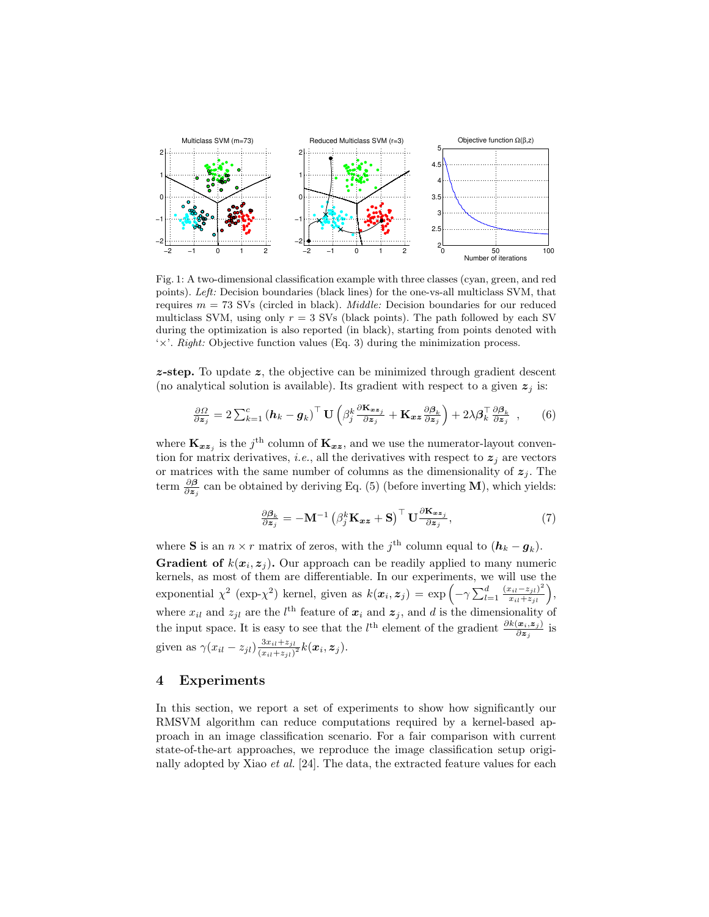

Fig. 1: A two-dimensional classification example with three classes (cyan, green, and red points). Left: Decision boundaries (black lines) for the one-vs-all multiclass SVM, that requires  $m = 73$  SVs (circled in black). *Middle:* Decision boundaries for our reduced multiclass SVM, using only  $r = 3$  SVs (black points). The path followed by each SV during the optimization is also reported (in black), starting from points denoted with  $\forall x'$ . Right: Objective function values (Eq. 3) during the minimization process.

 $z$ -step. To update  $z$ , the objective can be minimized through gradient descent (no analytical solution is available). Its gradient with respect to a given  $z_j$  is:

$$
\frac{\partial \Omega}{\partial z_j} = 2 \sum_{k=1}^{c} \left( \boldsymbol{h}_k - \boldsymbol{g}_k \right)^{\top} \mathbf{U} \left( \beta_j^k \frac{\partial \mathbf{K}_{\boldsymbol{x} \boldsymbol{z}_j}}{\partial z_j} + \mathbf{K}_{\boldsymbol{x} \boldsymbol{z}} \frac{\partial \boldsymbol{\beta}_k}{\partial z_j} \right) + 2 \lambda \beta_k^{\top} \frac{\partial \boldsymbol{\beta}_k}{\partial z_j} \quad , \qquad (6)
$$

where  $\mathbf{K}_{xz_j}$  is the j<sup>th</sup> column of  $\mathbf{K}_{xz}$ , and we use the numerator-layout convention for matrix derivatives, *i.e.*, all the derivatives with respect to  $z_j$  are vectors or matrices with the same number of columns as the dimensionality of  $z_j$ . The term  $\frac{\partial \beta}{\partial z_j}$  can be obtained by deriving Eq. (5) (before inverting M), which yields:

$$
\frac{\partial \beta_k}{\partial z_j} = -\mathbf{M}^{-1} \left( \beta_j^k \mathbf{K}_{xz} + \mathbf{S} \right)^\top \mathbf{U} \frac{\partial \mathbf{K}_{xz_j}}{\partial z_j},\tag{7}
$$

where **S** is an  $n \times r$  matrix of zeros, with the j<sup>th</sup> column equal to  $(h_k - g_k)$ .

**Gradient of**  $k(x_i, z_j)$ . Our approach can be readily applied to many numeric kernels, as most of them are differentiable. In our experiments, we will use the exponential  $\chi^2$  (exp- $\chi^2$ ) kernel, given as  $k(\mathbf{x}_i, \mathbf{z}_j) = \exp\left(-\gamma \sum_{l=1}^d \frac{(x_{il} - z_{jl})^2}{x_{il} + z_{jl}}\right)$ , where  $x_{il}$  and  $z_{jl}$  are the l<sup>th</sup> feature of  $x_i$  and  $z_j$ , and d is the dimensionality of the input space. It is easy to see that the  $l^{\text{th}}$  element of the gradient  $\frac{\partial k(x_i, z_j)}{\partial z_j}$  is given as  $\gamma(x_{il} - z_{jl}) \frac{3x_{il} + z_{jl}}{(x_{il} + z_{jl})}$  $\frac{3x_{il}+z_{jl}}{(x_{il}+z_{jl})^2}k(\boldsymbol x_i,\boldsymbol z_j).$ 

#### 4 Experiments

In this section, we report a set of experiments to show how significantly our RMSVM algorithm can reduce computations required by a kernel-based approach in an image classification scenario. For a fair comparison with current state-of-the-art approaches, we reproduce the image classification setup originally adopted by Xiao et al. [24]. The data, the extracted feature values for each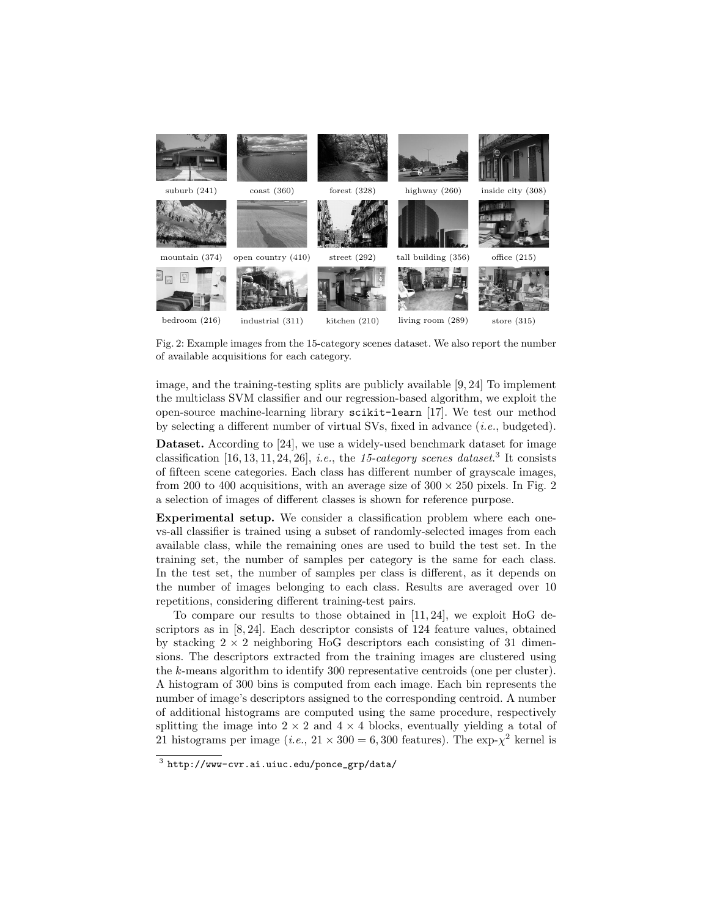

Fig. 2: Example images from the 15-category scenes dataset. We also report the number of available acquisitions for each category.

image, and the training-testing splits are publicly available [9, 24] To implement the multiclass SVM classifier and our regression-based algorithm, we exploit the open-source machine-learning library scikit-learn [17]. We test our method by selecting a different number of virtual SVs, fixed in advance  $(i.e.,$  budgeted).

Dataset. According to [24], we use a widely-used benchmark dataset for image classification  $[16, 13, 11, 24, 26]$ , *i.e.*, the 15-category scenes dataset.<sup>3</sup> It consists of fifteen scene categories. Each class has different number of grayscale images, from 200 to 400 acquisitions, with an average size of  $300 \times 250$  pixels. In Fig. 2 a selection of images of different classes is shown for reference purpose.

Experimental setup. We consider a classification problem where each onevs-all classifier is trained using a subset of randomly-selected images from each available class, while the remaining ones are used to build the test set. In the training set, the number of samples per category is the same for each class. In the test set, the number of samples per class is different, as it depends on the number of images belonging to each class. Results are averaged over 10 repetitions, considering different training-test pairs.

To compare our results to those obtained in [11, 24], we exploit HoG descriptors as in [8, 24]. Each descriptor consists of 124 feature values, obtained by stacking  $2 \times 2$  neighboring HoG descriptors each consisting of 31 dimensions. The descriptors extracted from the training images are clustered using the k-means algorithm to identify 300 representative centroids (one per cluster). A histogram of 300 bins is computed from each image. Each bin represents the number of image's descriptors assigned to the corresponding centroid. A number of additional histograms are computed using the same procedure, respectively splitting the image into  $2 \times 2$  and  $4 \times 4$  blocks, eventually yielding a total of 21 histograms per image  $(i.e., 21 \times 300 = 6,300$  features). The exp- $\chi^2$  kernel is

 $^3$  http://www-cvr.ai.uiuc.edu/ponce\_grp/data/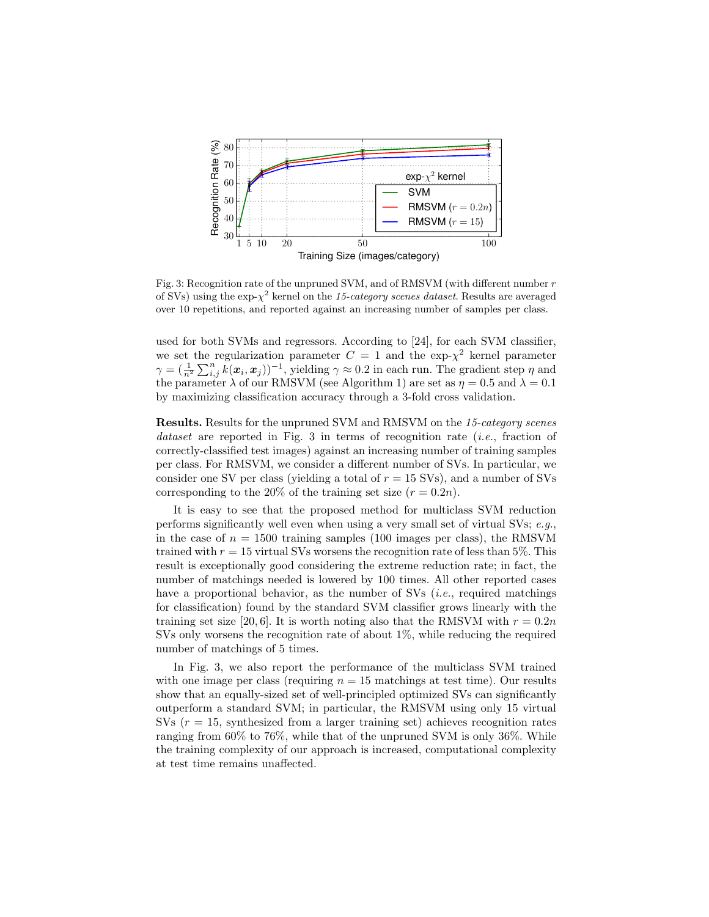

Fig. 3: Recognition rate of the unpruned SVM, and of RMSVM (with different number r of SVs) using the exp- $\chi^2$  kernel on the 15-category scenes dataset. Results are averaged over 10 repetitions, and reported against an increasing number of samples per class.

used for both SVMs and regressors. According to [24], for each SVM classifier, we set the regularization parameter  $C = 1$  and the exp- $\chi^2$  kernel parameter  $\gamma = (\frac{1}{n^2} \sum_{i,j}^n \tilde{k}(\boldsymbol{x}_i, \boldsymbol{x}_j))^{-1}$ , yielding  $\gamma \approx 0.2$  in each run. The gradient step  $\eta$  and the parameter  $\lambda$  of our RMSVM (see Algorithm 1) are set as  $\eta = 0.5$  and  $\lambda = 0.1$ by maximizing classification accuracy through a 3-fold cross validation.

Results. Results for the unpruned SVM and RMSVM on the 15-category scenes dataset are reported in Fig. 3 in terms of recognition rate (*i.e.*, fraction of correctly-classified test images) against an increasing number of training samples per class. For RMSVM, we consider a different number of SVs. In particular, we consider one SV per class (yielding a total of  $r = 15$  SVs), and a number of SVs corresponding to the 20% of the training set size  $(r = 0.2n)$ .

It is easy to see that the proposed method for multiclass SVM reduction performs significantly well even when using a very small set of virtual SVs; e.g., in the case of  $n = 1500$  training samples (100 images per class), the RMSVM trained with  $r = 15$  virtual SVs worsens the recognition rate of less than 5%. This result is exceptionally good considering the extreme reduction rate; in fact, the number of matchings needed is lowered by 100 times. All other reported cases have a proportional behavior, as the number of SVs (*i.e.*, required matchings for classification) found by the standard SVM classifier grows linearly with the training set size [20, 6]. It is worth noting also that the RMSVM with  $r = 0.2n$ SVs only worsens the recognition rate of about 1%, while reducing the required number of matchings of 5 times.

In Fig. 3, we also report the performance of the multiclass SVM trained with one image per class (requiring  $n = 15$  matchings at test time). Our results show that an equally-sized set of well-principled optimized SVs can significantly outperform a standard SVM; in particular, the RMSVM using only 15 virtual SVs  $(r = 15$ , synthesized from a larger training set) achieves recognition rates ranging from 60% to 76%, while that of the unpruned SVM is only 36%. While the training complexity of our approach is increased, computational complexity at test time remains unaffected.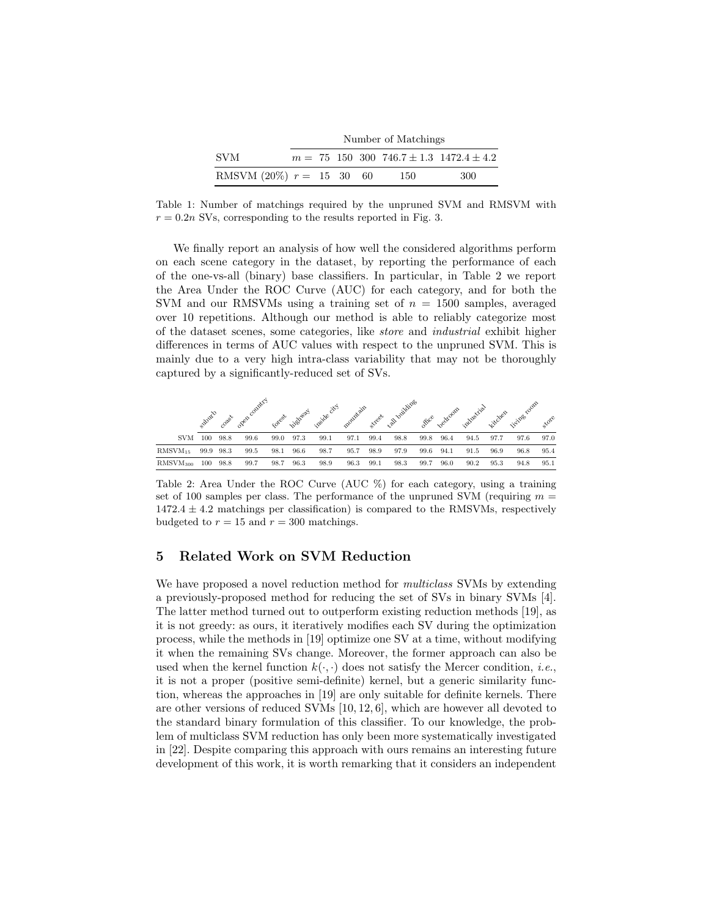|                         | Number of Matchings |  |  |     |     |                                                   |
|-------------------------|---------------------|--|--|-----|-----|---------------------------------------------------|
| -SVM                    |                     |  |  |     |     | $m = 75$ 150 300 746.7 $\pm$ 1.3 1472.4 $\pm$ 4.2 |
| RMSVM $(20\%) r = 1530$ |                     |  |  | -60 | 150 | 300                                               |

Table 1: Number of matchings required by the unpruned SVM and RMSVM with  $r = 0.2n$  SVs, corresponding to the results reported in Fig. 3.

We finally report an analysis of how well the considered algorithms perform on each scene category in the dataset, by reporting the performance of each of the one-vs-all (binary) base classifiers. In particular, in Table 2 we report the Area Under the ROC Curve (AUC) for each category, and for both the SVM and our RMSVMs using a training set of  $n = 1500$  samples, averaged over 10 repetitions. Although our method is able to reliably categorize most of the dataset scenes, some categories, like store and industrial exhibit higher differences in terms of AUC values with respect to the unpruned SVM. This is mainly due to a very high intra-class variability that may not be thoroughly captured by a significantly-reduced set of SVs.



Table 2: Area Under the ROC Curve (AUC %) for each category, using a training set of 100 samples per class. The performance of the unpruned SVM (requiring  $m =$  $1472.4 \pm 4.2$  matchings per classification) is compared to the RMSVMs, respectively budgeted to  $r = 15$  and  $r = 300$  matchings.

## 5 Related Work on SVM Reduction

We have proposed a novel reduction method for *multiclass* SVMs by extending a previously-proposed method for reducing the set of SVs in binary SVMs [4]. The latter method turned out to outperform existing reduction methods [19], as it is not greedy: as ours, it iteratively modifies each SV during the optimization process, while the methods in [19] optimize one SV at a time, without modifying it when the remaining SVs change. Moreover, the former approach can also be used when the kernel function  $k(\cdot, \cdot)$  does not satisfy the Mercer condition, *i.e.*, it is not a proper (positive semi-definite) kernel, but a generic similarity function, whereas the approaches in [19] are only suitable for definite kernels. There are other versions of reduced SVMs [10, 12, 6], which are however all devoted to the standard binary formulation of this classifier. To our knowledge, the problem of multiclass SVM reduction has only been more systematically investigated in [22]. Despite comparing this approach with ours remains an interesting future development of this work, it is worth remarking that it considers an independent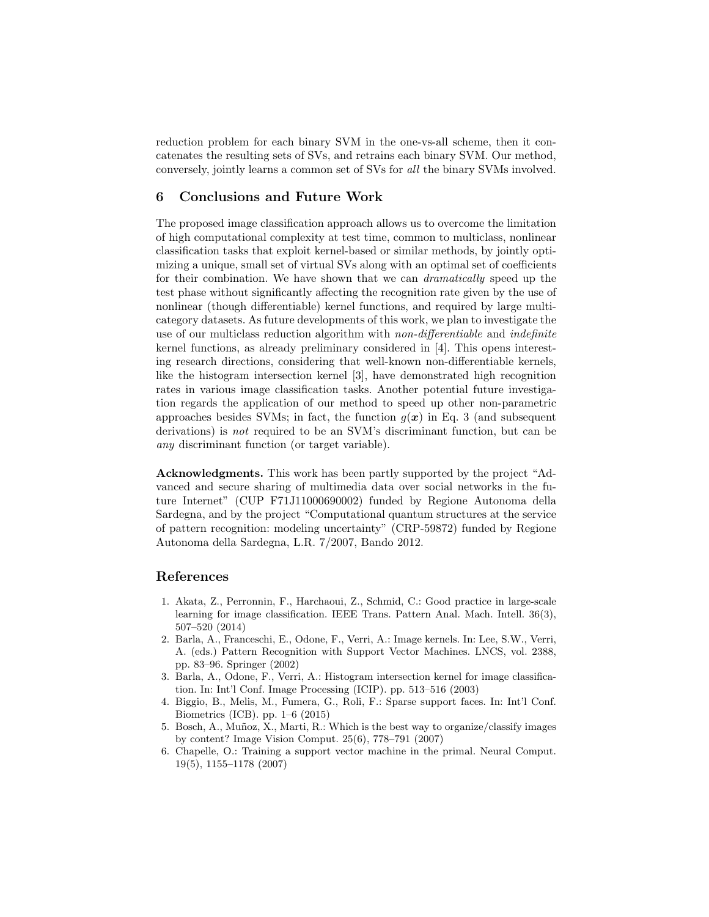reduction problem for each binary SVM in the one-vs-all scheme, then it concatenates the resulting sets of SVs, and retrains each binary SVM. Our method, conversely, jointly learns a common set of SVs for all the binary SVMs involved.

## 6 Conclusions and Future Work

The proposed image classification approach allows us to overcome the limitation of high computational complexity at test time, common to multiclass, nonlinear classification tasks that exploit kernel-based or similar methods, by jointly optimizing a unique, small set of virtual SVs along with an optimal set of coefficients for their combination. We have shown that we can dramatically speed up the test phase without significantly affecting the recognition rate given by the use of nonlinear (though differentiable) kernel functions, and required by large multicategory datasets. As future developments of this work, we plan to investigate the use of our multiclass reduction algorithm with non-differentiable and indefinite kernel functions, as already preliminary considered in [4]. This opens interesting research directions, considering that well-known non-differentiable kernels, like the histogram intersection kernel [3], have demonstrated high recognition rates in various image classification tasks. Another potential future investigation regards the application of our method to speed up other non-parametric approaches besides SVMs; in fact, the function  $g(x)$  in Eq. 3 (and subsequent derivations) is not required to be an SVM's discriminant function, but can be any discriminant function (or target variable).

Acknowledgments. This work has been partly supported by the project "Advanced and secure sharing of multimedia data over social networks in the future Internet" (CUP F71J11000690002) funded by Regione Autonoma della Sardegna, and by the project "Computational quantum structures at the service of pattern recognition: modeling uncertainty" (CRP-59872) funded by Regione Autonoma della Sardegna, L.R. 7/2007, Bando 2012.

## References

- 1. Akata, Z., Perronnin, F., Harchaoui, Z., Schmid, C.: Good practice in large-scale learning for image classification. IEEE Trans. Pattern Anal. Mach. Intell. 36(3), 507–520 (2014)
- 2. Barla, A., Franceschi, E., Odone, F., Verri, A.: Image kernels. In: Lee, S.W., Verri, A. (eds.) Pattern Recognition with Support Vector Machines. LNCS, vol. 2388, pp. 83–96. Springer (2002)
- 3. Barla, A., Odone, F., Verri, A.: Histogram intersection kernel for image classification. In: Int'l Conf. Image Processing (ICIP). pp. 513–516 (2003)
- 4. Biggio, B., Melis, M., Fumera, G., Roli, F.: Sparse support faces. In: Int'l Conf. Biometrics (ICB). pp. 1–6 (2015)
- 5. Bosch, A., Muñoz, X., Marti, R.: Which is the best way to organize/classify images by content? Image Vision Comput. 25(6), 778–791 (2007)
- 6. Chapelle, O.: Training a support vector machine in the primal. Neural Comput. 19(5), 1155–1178 (2007)